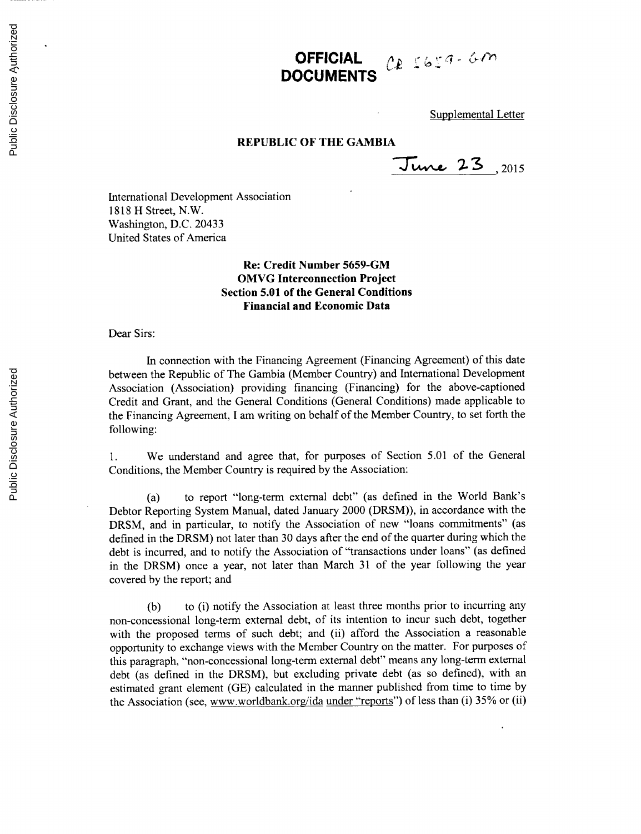## **OFFICIAL**  $\alpha$   $\beta$   $\beta$   $\beta$   $\beta$   $\beta$   $\beta$ **DOCUMENTS**

Supplemental Letter

## **REPUBLIC OF THE GAMBIA**

*,2015*

International Development Association **1818** H Street, N.W. Washington, **D.C.** 20433 United States of America

## **Re: Credit Number 5659-GM OMVG Interconnection Project Section 5.01 of the General Conditions Financial and Economic Data**

Dear Sirs:

In connection with the Financing Agreement (Financing Agreement) of this date between the Republic of The Gambia (Member Country) and International Development Association (Association) providing financing (Financing) for the above-captioned Credit and Grant, and the General Conditions (General Conditions) made applicable to the Financing Agreement, **I** am writing on behalf of the Member Country, to set forth the following:

**1.** We understand and agree that, for purposes of Section **5.01** of the General Conditions, the Member Country is required **by** the Association:

(a) to report "long-term external debt" (as defined in the World Bank's Debtor Reporting System Manual, dated January 2000 (DRSM)), in accordance with the DRSM, and in particular, to notify the Association of new "loans commitments" (as defined in the DRSM) not later than **30** days after the end of the quarter during which the debt is incurred, and to notify the Association of "transactions under loans" (as defined in the DRSM) once a year, not later than March **31** of the year following the year covered **by** the report; and

**(b)** to (i) notify the Association at least three months prior to incurring any non-concessional long-term external debt, of its intention to incur such debt, together with the proposed terms of such debt; and (ii) afford the Association a reasonable opportunity to exchange views with the Member Country on the matter. For purposes of this paragraph, "non-concessional long-term external debt" means any long-term external debt (as defined in the DRSM), but excluding private debt (as so defined), with an estimated grant element **(GE)** calculated in the manner published from time to time **by** the Association (see, www.worldbank.org/ida under "reports") of less than (i) **35%** or (ii)